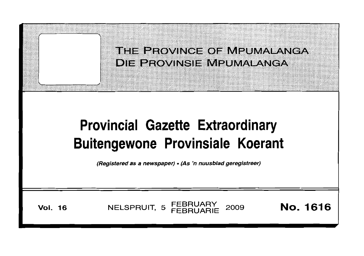$\overline{\phantom{iiiiiiiiiiiiiiiiiii}}$ ::: :::::::::::::::::: :; : .. !. :::;:;:;::: . THE PROVINGE OF MPUMALANGA. DIE PROVINSIE MPUMALANGA It:::::::y'··~::.:::,=::-:= ...=.. =~:::.~.::~:.::::::::::::::,::.::::: ,:,:::::::::,:,:,:,:::,:,:,::::' .... **Provincial Gazette Extraordinary Buitengewone Provinsiale Koerant** (Registered as a newspaper) • (As 'n nuusblad geregistreer) **Vol. <sup>16</sup>** FEBRUARY NELSPRUIT, <sup>5</sup> FEBRUARIE <sup>2009</sup> **No. 1616**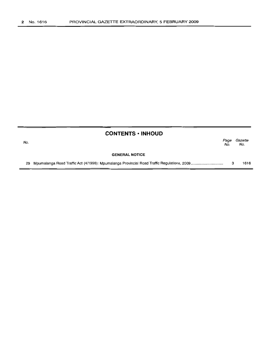|     | <b>CONTENTS • INHOUD</b> |             |                |
|-----|--------------------------|-------------|----------------|
| No. |                          | Page<br>No. | Gazette<br>No. |
|     | <b>GENERAL NOTICE</b>    |             |                |
| 29  |                          | - 3         | 1616           |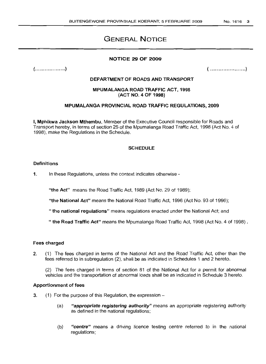# GENERAL NOTICE

#### NOTICE 29 OF 2009

( )

( )

## DEPARTMENT OF ROADS AND TRANSPORT

#### MPUMALANGA ROAD TRAFFIC ACT, 1998 (ACT NO.4 OF 1998)

## MPUMALANGA PROVINCIAL ROAD TRAFFIC REGULATIONS, 2009

I, Mphikwa Jackson Mthembu, Member of the Executive Council responsible for Roads and Transport hereby, in terms of section 25 of the Mpumalanga Road Traffic Act, 1998 (Act NO.4 of 1998), make the Regulations in the Schedule.

#### **SCHEDULE**

#### **Definitions**

1. In these Regulations, unless the context indicates otherwise-

"the Act" means the Road Traffic Act, 1989 (Act No. 29 of 1989);

"the National Act" means the National Road Traffic Act, 1996 (Act No. 93 of 1996);

" the national regulations" means regulations enacted under the National Act; and

" the Road Traffic Act" means the Mpumalanga Road Traffic Act, 1998 (Act NO.4 of 1998) .

#### Fees charged

2. (1) The fees charged in terms of the National Act and the Road Traffic Act, other than the fees referred to in subrequlation (2), shall be as indicated in Schedules 1 and 2 hereto.

(2) The fees charged in terms of section 81 of the National Act for a permit for abnormal vehicles and the transportation of abnormal loads shall be as indicated in Schedule 3 hereto.

#### Apportionment of fees

- 3. (1) For the purpose of this Regulation, the expression-
	- (a) "appropriate registering authority" means an appropriate registering authority as defined in the national regulations;
	- (b) "centre" means a driving licence testing centre referred to in the national requlations: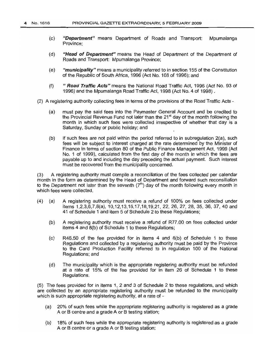- (c) "Department" means Department of Roads and Transport: Mpuma/anga Province;
- (d) "Head of Department" means the Head of Department of the Department of Roads and Transport: Mpumalanga Province:
- (e) "municipality" means a municipality referred to in section 155 of the Constitution of the Republic of South Africa, 1996 (Act No. 108 of 1996); and
- (f) " Road Traffic Acts" means the National Road Traffic Act, 1996 (Act No. 93 of 1996) and the Mpumalanga Road Traffic Act, 1998 (Act No.4 of 1998) .
- (2) A registering authority collecting fees in terms of the provisions of the Road Traffic Acts
	- (a) must pay the said fees into the Paymaster General Account and be credited to the Provincial Revenue Fund not later than the 21<sup>st</sup> day of the month following the month in which such fees were collected irrespective of whether that day is a Saturday, Sunday or public holiday; and
	- (b) if such fees are not paid within the period referred to in subregulation  $2(a)$ , such fees will be subject to interest charged at the rate determined by the Minister of Finance in terms of section 80 of the Public Finance Management Act, 1999 (Act No. 1 of 1999), calculated from the first day of the month in which the fees are payable up to and including the day preceding the actual payment. Such interest must be recovered from the municipality concerned.

(3) A registering authority must compile a reconciliation of the fees collected per calendar month in the form as determined by the Head of Department and forward such reconsiliation to the Department not later than the seventh  $(7<sup>th</sup>)$  day of the month following every month in which fees were collected.

- (4) (a) A registering authority must receive a refund of 100% on fees collected under items 1,2,3,6,7,8(a), 10,12,13,16,17,18,19,21,22,26,27,28,35,36,37,40 and 41 of Schedule 1 and item 5 of Schedule 2 to these Regulations;
	- (b) A registering authority must receive a refund of R77.00 on fees collected under items 4 and 8(b) of Schedule 1 to these Regulations;
	- (c) R46.50 of the fee provided for in items 4 and 8(b) of Schedule 1 to these Regulations and collected by a registering authority must be paid by the Province to the Card Production Facility referred to in regulation 100 of the National Regulations; and
	- (d) The municipality which is the appropriate registering authority must be refunded at a rate of 15% of the fee provided for in item 26 of Schedule 1 to these Regulations.

(5) The fees provided for in items 1, 2 and 3 of Schedule 2 to these regulations, and which are collected by an appropriate registering authority must be refunded to the municipality which is such appropriate registering authority, at a rate of -

- (a) 20% of such fees while the appropriate registering authority is registered as a grade A or B centre and a grade A or B testing station;
- (b) 18% of such fees while the appropriate registering authority is registered as a grade A or B centre or a grade A or B testing station;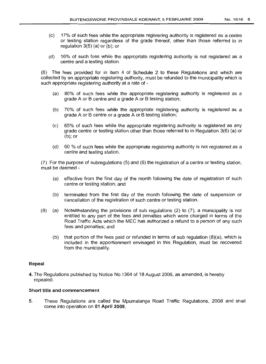- (c) 17% of such fees while the appropriate registering authority is registered as a centre or testing station regardless of the grade thereof, other than those referred to in regulation 3(5) (a) or (b); or
- (d) 16% of such fees while the appropriate registering authority is not registered as a centre and a testing station.

(6) The fees provided for in item 4 of Schedule 2 to these Regulations and which are collected by an appropriate registering authority, must be refunded to the municipality which is such appropriate registering authority at a rate of -

- (a) 80% of such fees while the appropriate registering authority is registered as a grade A or B centre and a grade A or B testing station;
- (b) 70% of such fees while the appropriate registering authority is registered as a grade A or B centre or a grade A or B testing station;
- (c) 65% of such fees while the appropriate registering authority is registered as any grade centre or testing station other than those referred to in Regulation 3(6) (a) or (b); or
- (d) 60 % of such fees while the appropriate registering authority is not registered as a centre and testing station.

(7) For the purpose of subregulations (5) and (6) the registration of a centre or testing station, must be deemed -

- (a) effective from the first day of the month following the date of registration of such centre or testing station; and
- (b) terminated from the first day of the month following the date of suspension or cancellation of the registration of such centre or testing station.
- (8) (a) Notwithstanding the provisions of sub regulations (2) to (7), a municipality is not entitled to any part of the fees and penalties which were charged in terms of the Road Traffic Acts which the MEC has authorized a refund to a person of any such fees and penalties; and
	- (b) that portion of the fees paid or refunded in terms of sub regulation  $(8)(a)$ , which is included in the apportionment envisaqed in this Regulation, must be recovered from the municipality.

#### **Repeal**

4. The Regulations published by Notice NO.1364 of 18 August 2006, as amended, is hereby repealed.

#### **Short title and commencement**

5. These Regulations are called the Mpumalanga Road Traffic Regulations, 2008 and shall come into operation on **01 April 2009.**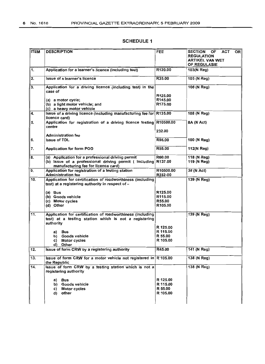## SCHEDULE 1

| <b>ITEM</b>       | <b>DESCRIPTION</b>                                                                                                                                 | FEE                                                 | <b>SECTION</b><br><b>ACT</b><br>OR <br>OF<br><b>REGULATION</b><br><b>ARTIKEL VAN WET</b><br>OF REGULASIE |
|-------------------|----------------------------------------------------------------------------------------------------------------------------------------------------|-----------------------------------------------------|----------------------------------------------------------------------------------------------------------|
| $\mathbf{1}$ .    | Application for a learner's licence (including test)                                                                                               | R120.00                                             | 103(N Reg)                                                                                               |
| $\overline{2}$ .  | Issue of a learner's licence                                                                                                                       | R35.00                                              | 105 (N Reg)                                                                                              |
| $\overline{3}$ .  | Application for a driving licence (including test) in the<br>case of                                                                               |                                                     | 106 (N Reg)                                                                                              |
|                   | (a) a motor cycle;<br>(b) a light motor vehicle; and<br>(c) a heavy motor vehicle                                                                  | R125.00<br>R145.00<br>R175.00                       |                                                                                                          |
| 4.                | Issue of a driving licence (Including manufacturing fee for R135.00<br>licence card)                                                               |                                                     | 108 (N Reg)                                                                                              |
| 5.                | Application for registration of a driving licence testing R10500.00<br>centre                                                                      |                                                     | 8A (N Act)                                                                                               |
|                   | Administration fee                                                                                                                                 | 232.00                                              |                                                                                                          |
| ∥6.               | <b>Issue of TDL</b>                                                                                                                                | R55.00                                              | 100 (N Reg)                                                                                              |
| 7.                | <b>Application for form POD</b>                                                                                                                    | R55.00                                              | 112(N Reg)                                                                                               |
| 8.                | (a) Application for a professional driving permit<br>(b) Issue of a professional driving permit ( Including<br>manufacturing fee for licence card) | R60.00<br>R137.00                                   | 118 (N Reg)<br>119 (N Reg)                                                                               |
| 9.                | Application for registration of a testing station<br><b>Administration fee</b>                                                                     | R10500.00<br>R232-00                                | 38 (N Act)                                                                                               |
| 10.               | Application for certification of roadworthiness (including<br>test) at a registering authority in respect of -                                     |                                                     | 139 (N Reg)                                                                                              |
|                   | $(a)$ Bus<br>(b) Goods vehicle<br>(c) Motor cycles<br>(d) Other                                                                                    | R <sub>125.00</sub><br>R115.00<br>R55.00<br>R105.00 |                                                                                                          |
| 11.               | Application for certification of roadworthiness (including<br>test) at a testing station which is not a registering<br>authority                   |                                                     | 139 (N Reg)                                                                                              |
|                   | Bus<br>a)<br>b) Goods vehicle<br>Motor cycles<br>C)<br>Other<br>d)                                                                                 | R 125.00<br>R 115.00<br>R 55.00<br>R 105.00         |                                                                                                          |
| 12.               | Issue of form CRW by a registering authority                                                                                                       | R45.00                                              | 141 (N Reg)                                                                                              |
| $\overline{13}$ . | Issue of form CRW for a motor vehicle not registered in R 105.00<br>the Republic                                                                   |                                                     | 138 (N Reg)                                                                                              |
| 14.               | Issue of form CRW by a testing station which is not a<br>registering authority                                                                     |                                                     | 138 (N Reg)                                                                                              |
|                   | Bus<br>a)<br>b) Goods vehicle<br><b>Motor cycles</b><br>C)<br>other<br>d)                                                                          | R 125.00<br>R 115.00<br>R 55.00<br>R 105.00         |                                                                                                          |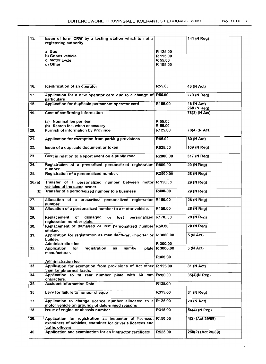|  | No. 1616 |  |
|--|----------|--|
|--|----------|--|

| 15.    | Issue of form CRW by a testing station which is not a<br>registering authority                                                          |                                             | 141 (N Reg)               |
|--------|-----------------------------------------------------------------------------------------------------------------------------------------|---------------------------------------------|---------------------------|
|        | a) Bus<br>b) Goods vehicle<br>c) Motor cycle<br>d) Other                                                                                | R 125.00<br>R 115.00<br>R 55.00<br>R 105.00 |                           |
|        |                                                                                                                                         |                                             |                           |
| 16.    | Identification of an operator                                                                                                           | R55.00                                      | 46 (N Act)                |
| 17.    | Application for a new operator card due to a change of R55.00<br>particulars                                                            |                                             | 270 (N Reg)               |
| 18.    | Application for duplicate permanent operator card                                                                                       | R <sub>155.00</sub>                         | 46 (N Act)<br>268 (N Reg) |
| 19.    | Cost of confirming information -                                                                                                        |                                             | 78(3) (N Act)             |
|        | (a) Nominal fee per item<br>(b) Search fee, when necessary                                                                              | R 55.00<br>R 55.00                          |                           |
| 20.    | <b>Furnish of information by Province</b>                                                                                               | R125.00                                     | 78(4) (N Act)             |
| 21.    | Application for exemption from parking provisions                                                                                       | R65.00                                      | 80 (N Act)                |
| 22.    | Issue of a duplicate document or token                                                                                                  | R525.00                                     | 109 (N Reg)               |
| 23.    | Cost in relation to a sport event on a public road                                                                                      | R2000.00                                    | 317 (N Reg)               |
| 24.    | Registration of a prescribed personalized registration R800.00<br>number.                                                               |                                             | 29 (N Reg)                |
| 25.    | Registration of a personalized number.                                                                                                  | R2500.00                                    | 28 (N Reg)                |
| 26.(a) | Transfer of a personalized number between motor R 150.00<br>vehicles of the same owner.                                                 |                                             | 29 (N Reg)                |
| (b)    | Transfer of a personalized number to a business                                                                                         | R400-00                                     | 29 (N Reg)                |
| 27.    | Allocation of a prescribed personalized registration R150.00<br>number.                                                                 |                                             | 28 (N Reg)                |
| 28.    | Allocation of a personalized number to a motor vehicle.                                                                                 | R150.00                                     | 28 (N Reg)                |
| 29.    | of<br>Replacement<br>damaged<br>personalized R17000<br>lost<br>or<br>registration number plate.                                         |                                             | 28 (N Reg)                |
| 30.    | Replacement of damaged or lost personalized number R50.00<br>sticker.                                                                   |                                             | 28 (N Reg)                |
| 31.    | Application for registration as manufacturer, importer or R 3000.00<br>builder.                                                         |                                             | 5 (N Act)                 |
| 32.    | <b>Administration fee</b><br>Application<br>registration<br>number<br>for<br>as                                                         | R 300.00<br>plate R 3000.00                 | 5 (N Act)                 |
|        | manufacturer.<br><b>Administration fee</b>                                                                                              | R300.00                                     |                           |
| 33.    | Application for exemption from provisions of Act other R 155.00                                                                         |                                             | 81 (N Act)                |
| 34.    | than for abnormal loads.<br>Application to fit rear number plate with 60 mm                                                             | R200.00                                     | 35(4)(N Reg)              |
| 35.    | characters.<br><b>Accident Information Data</b>                                                                                         | R125.00                                     |                           |
| 36.    | Levy for failure to honour cheque                                                                                                       | R315.00                                     | 61 (N Reg)                |
| 37.    | Application to change licence number allocated to a<br>motor vehicle on grounds of determined reasons                                   | R125.00                                     | 29 (N Act)                |
| 38.    | Issue of engine or chassis number                                                                                                       | R315.00                                     | 56(4) (N Reg)             |
| 39.    | Application for registration as inspector of licences,<br>examiners of vehicles, examiner for driver's licences and<br>traffic officers | R150.00                                     | 4(2) (Act 29/89)          |
| 40.    | Application and examination for an instructor certificate                                                                               | R525.00                                     | 250(2) (Act 29/89)        |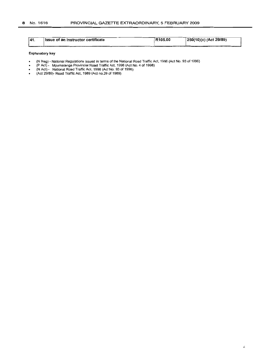| 141. | Issue of an instructor certificate | R <sub>105.00</sub> |                        |
|------|------------------------------------|---------------------|------------------------|
|      |                                    |                     | 250(10)(c) (Act 29/89) |
|      |                                    |                     |                        |
|      |                                    |                     |                        |

#### Explanatory key

- (N Reg) National Regulations issued in terms of the National Road Traffic Act, 1996 (Act No. 93 of 1996)  $\bullet$
- $\bullet$ (P Act) - Mpumalanga Provincial Road Traffic Act, 1998 (Act NO.4 of 1998)
- $\bullet$ (N Act) - National Road Traffic Act, 1996 (Act No. 93 of 1996)
- $\bullet$ (Act 29/89)- Road Traffic Act, 1989 (Act no.29 of 1989)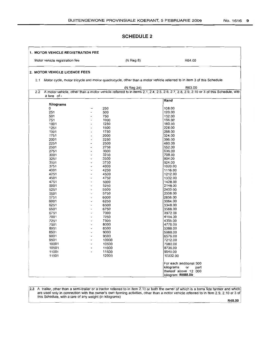## **SCHEDULE 2**

| Motor vehicle registration fee |                                   | $(N$ Reg $8)$ | R64.00                                                                                                                               |
|--------------------------------|-----------------------------------|---------------|--------------------------------------------------------------------------------------------------------------------------------------|
| 2. MOTOR VEHICLE LICENCE FEES  |                                   |               |                                                                                                                                      |
| 2.1                            |                                   |               | Motor cycle, motor tricycle and motor quadrucycle, other than a motor vehicle referred to in item 3 of this Schedule                 |
|                                |                                   | (N Reg 24)    | R63.00                                                                                                                               |
| 2.2                            |                                   |               | A motor vehicle, other than a motor vehicle referred to in items 2.1, 2.4, 2.5, 2.6, 2.7, 2.8, 2.9, 2.10 or 3 of this Schedule, with |
| a tare of -                    |                                   |               |                                                                                                                                      |
|                                |                                   |               | Rand                                                                                                                                 |
| Kilograms                      |                                   |               |                                                                                                                                      |
| 0                              | 250                               |               | 108.00                                                                                                                               |
| 251                            | 500                               |               | 120,00                                                                                                                               |
| 501                            | 750                               |               | 132.00                                                                                                                               |
| 751                            | 1000                              |               | 156.00                                                                                                                               |
| 1001                           | 1250                              |               | 180.00                                                                                                                               |
| 1251                           | 1500                              |               | 228.00                                                                                                                               |
| 1501                           | 1750                              |               | 288.00                                                                                                                               |
| 1751                           | 2000<br>$\blacksquare$            |               | 324.00                                                                                                                               |
| 2001                           | 2250                              |               | 396.00                                                                                                                               |
| 2251                           | 2500                              |               | 480.00                                                                                                                               |
| 2501                           | 2750<br>$\ddot{\phantom{0}}$      |               | 552.00                                                                                                                               |
| 2751                           | 3000                              |               | 636.00                                                                                                                               |
| 3001                           | 3250                              |               | 708.00                                                                                                                               |
| 3251                           | 3500                              |               | 804.00                                                                                                                               |
| 3501                           | 3750                              |               | 924.00                                                                                                                               |
| 3751                           | 4000<br>$\tilde{\phantom{a}}$     |               | 1020.00                                                                                                                              |
| 4001                           | 4250                              |               | 1116.00                                                                                                                              |
| 4251                           | 4500                              |               | 1212.00                                                                                                                              |
| 4501                           | 4750                              |               | 1332.00                                                                                                                              |
| 4751                           | 5000                              |               | 1428.00                                                                                                                              |
| 5001                           | 5250                              |               | 2148.00                                                                                                                              |
| 5251                           | 5500<br>٠                         |               | 2400.00                                                                                                                              |
| 5501                           | 5750<br>٠                         |               | 2508.00                                                                                                                              |
| 5751                           | 6000<br>$\overline{\phantom{a}}$  |               | 2856.00                                                                                                                              |
| 6001                           | 6250                              |               | 3084.00                                                                                                                              |
| 6251                           | 6500                              |               | 3348.00                                                                                                                              |
| 6501                           | 6750                              |               | 3588.00                                                                                                                              |
| 6751                           | 7000                              |               | 3972.00                                                                                                                              |
| 7001                           | 7250                              |               | 4104.00                                                                                                                              |
| 7251                           | 7500                              |               | 4356.00                                                                                                                              |
| 7501                           | 8000                              |               | 4776.00                                                                                                                              |
| 8001                           | 8500                              |               | 5388.00                                                                                                                              |
| 8501                           | 9000                              |               | 5988.00                                                                                                                              |
| 9001                           | 9500<br>$\tilde{\phantom{a}}$     |               | 6576.00                                                                                                                              |
| 9501                           | 10000<br>$\overline{\phantom{a}}$ |               | 7212.00                                                                                                                              |
| 10001                          | 10500                             |               | 7980.00                                                                                                                              |
| 10501                          | 11000<br>٠                        |               | 8736.00                                                                                                                              |
| 11001                          | 11500<br>$\overline{a}$           |               | 9540.00                                                                                                                              |
| 11501                          | 12000                             |               | 10332.00                                                                                                                             |
|                                |                                   |               | For each additional 500                                                                                                              |
|                                |                                   |               | kilograms<br>or<br>part                                                                                                              |
|                                |                                   |               | thereof above 12 000                                                                                                                 |
|                                |                                   |               | kilogram: R888.00                                                                                                                    |

2.3 A trailer, other than a semi-trailer or a tractor referred to in item 2.10 or both the owner of which is a bona fide farmer and which are used only in connection with the owner's own farming activities, other than a motor vehicle referred to in item 2.9,2.10 or 3 of this Schedule, with a tare of any weight (in kilograms)

R4B.OO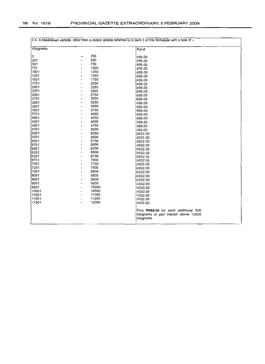$\bar{\mathcal{A}}$ 

| Kilograms |                                         | Rand                                                                                        |
|-----------|-----------------------------------------|---------------------------------------------------------------------------------------------|
| lo.       | 250<br>--                               | 456.00                                                                                      |
| 251       | 500                                     | 456.00                                                                                      |
| 501       | 750<br>$\overline{\phantom{0}}$         | 456.00                                                                                      |
| 751       | 1000<br>$\overline{a}$                  | 456.00                                                                                      |
| 1001      | 1250<br>$\overline{\phantom{a}}$        | 456.00                                                                                      |
| 1251      | 1500<br>$\overline{\phantom{a}}$        | 456.00                                                                                      |
| 1501      | 1750<br>$\overline{\phantom{a}}$        | 456.00                                                                                      |
| 1751      | 2000<br>à,                              | 456.00                                                                                      |
| 2001      | 2250<br>$\blacksquare$                  | 456.00                                                                                      |
| 2251      | 2500<br>$\overline{\phantom{0}}$        | 456.00                                                                                      |
| 2501      | 2750<br>$\overline{a}$                  | 456.00                                                                                      |
| 2751      | 3000<br>$\centering \label{eq:reduced}$ | 456.00                                                                                      |
| 3001      | 3250                                    | 456.00                                                                                      |
| 3251      | 3500<br>$\qquad \qquad \blacksquare$    | 456.00                                                                                      |
| 3501      | 3750<br>$\blacksquare$                  | 456.00                                                                                      |
| 3751      | 4000<br>-                               | 456.00                                                                                      |
| 4001      | 4250<br>$\overline{a}$                  | 456.00                                                                                      |
| 4251      | 4500<br>$\overline{\phantom{a}}$        | 456.00                                                                                      |
| 4501      | 4750<br>$\overline{\phantom{a}}$        |                                                                                             |
| 4751      | 5000<br>$\overline{\phantom{a}}$        | 456.00                                                                                      |
| 5001      | 5250                                    | 456.00                                                                                      |
| 5251      | 5500<br>$\overline{a}$                  | 4032.00                                                                                     |
| 5501      | 5750<br>$\qquad \qquad \blacksquare$    | 4032.00                                                                                     |
| 5751      | 6000<br>$\overline{\phantom{a}}$        | 4032.00                                                                                     |
| 6001      | 6250<br>$\tilde{\phantom{a}}$           | 4032.00                                                                                     |
| 6251      | 6500<br>$\qquad \qquad \blacksquare$    | 4032.00                                                                                     |
| 6501      | 6750<br>$\overline{\phantom{a}}$        | 4032.00                                                                                     |
| 6751      | 7000                                    | 4032.00                                                                                     |
| 7001      | 7250<br>$\overline{\phantom{a}}$        | 4032.00                                                                                     |
| 7251      | 7500<br>$\ddot{\phantom{0}}$            | 4032.00                                                                                     |
| 7501      | 8000<br>$\overline{\phantom{a}}$        | 4032.00                                                                                     |
| 8001      | 8500<br>$\tilde{\phantom{a}}$           | 4032.00                                                                                     |
| 8501      | 9000                                    | 4032.00                                                                                     |
|           | $\tilde{\phantom{a}}$                   | 4032.00                                                                                     |
| 9001      | 9500<br>۰                               | 4032.00                                                                                     |
| 9501      | 10000<br>$\overline{\phantom{0}}$       | 4032.00                                                                                     |
| 10001     | 10500                                   | 4032.00                                                                                     |
| 10501     | 11000<br>$\blacksquare$                 | 4032.00                                                                                     |
| 11001     | 11500<br>-                              | 4032.00                                                                                     |
| 11501     | 12000<br>$\ddot{\phantom{0}}$           | 4032.00                                                                                     |
|           |                                         | Plus R888.00 for each additional 500<br>kilograms or part thereof above 12000<br>kilograms. |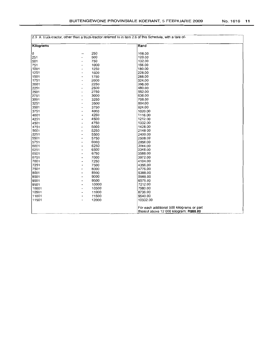| Kilograms |                              | Rand                                      |
|-----------|------------------------------|-------------------------------------------|
| 0         | 250                          | 108.00                                    |
| 251       | 500                          | 120.00                                    |
| 501       | 750<br>$\overline{a}$        | 132.00                                    |
| 751       | 1000                         | 156.00                                    |
| 1001      | 1250<br>$\overline{a}$       | 180.00                                    |
| 1251      | 1500<br>$\overline{a}$       | 228.00                                    |
| 1501      | 1750                         | 288.00                                    |
| 1751      | 2000<br>$\overline{a}$       | 324.00                                    |
| 2001      | 2250<br>٠                    | 396.00                                    |
| 2251      | 2500                         | 480.00                                    |
| 2501      | 2750                         | 552.00                                    |
| 2751      | 3000<br>$\overline{a}$       | 636.00                                    |
| 3001      | 3250<br>٠                    | 708.00                                    |
| 3251      | 3500                         | 804.00                                    |
| 3501      | 3750<br>L                    | 924.00                                    |
| 3751      | 4000<br>$\ddot{\phantom{0}}$ | 1020.00                                   |
| 4001      | 4250<br>$\overline{a}$       | 1116.00                                   |
| 4251      | 4500<br>$\overline{a}$       | 1212.00                                   |
| 4501      | 4750                         | 1332.00                                   |
| 4751      | 5000<br>L,                   | 1428.00                                   |
| 5001      | 5250                         | 2148 00                                   |
| 5251      | 5500                         | 2400.00                                   |
| 5501      | 5750                         | 2508.00                                   |
| 5751      | 6000                         | 2856.00                                   |
| 6001      | 6250<br>٠                    | 3084.00                                   |
| 6251      | 6500                         | 3348.00                                   |
| 6501      | 6750<br>$\overline{a}$       | 3588.00                                   |
| 6751      | 7000                         | 3972.00                                   |
| 7001      | 7250<br>٠                    | 4104.00                                   |
| 7251      | 7500<br>×,                   | 4356.00                                   |
| 7501      | 8000                         | 4776.00                                   |
| 8001      | 8500<br>٠                    | 5388.00                                   |
| 8501      | 9000                         | 5988.00                                   |
| 9001      | 9500                         | 6576.00                                   |
| 9501      | 10000                        | 7212.00                                   |
| 10001     | 10500<br>$\overline{a}$      | 7980.00                                   |
| 10501     | 11000<br>$\overline{a}$      | 8736.00                                   |
| 11001     | 11500                        | 9540.00                                   |
| 11501     | 12000                        | 10332.00                                  |
|           |                              |                                           |
|           |                              | For each additional 500 kilograms or part |
|           |                              | thereof above 12 000 kilogram: R888.00    |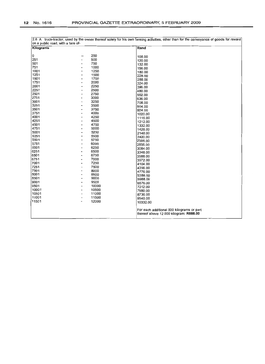| on a public road, with a tare of-                                                                                                                                      |                                                                                                                                                                                                                                                                                                                          | 2.6 A truck-tractor, used by the owner thereof solely for his own farming activities, other than for the conveyance of goods for reward                                                                              |
|------------------------------------------------------------------------------------------------------------------------------------------------------------------------|--------------------------------------------------------------------------------------------------------------------------------------------------------------------------------------------------------------------------------------------------------------------------------------------------------------------------|----------------------------------------------------------------------------------------------------------------------------------------------------------------------------------------------------------------------|
| Kilograms                                                                                                                                                              |                                                                                                                                                                                                                                                                                                                          | Rand                                                                                                                                                                                                                 |
| 0<br>251<br>501<br>751<br>1001<br>1251<br>1501<br>1751<br>2001<br>2251<br>2501<br>2751<br>3001<br>3251<br>3501<br>3751<br>4001<br>4251<br>4501<br>4751<br>5001<br>5251 | 250<br>--<br>500<br>750<br>1000<br>1250<br>L,<br>1500<br>1750<br>$\overline{a}$<br>2000<br>2250<br>$\overline{\phantom{0}}$<br>2500<br>٠<br>2750<br>3000<br>۰<br>3250<br>3500<br>$\overline{a}$<br>3750<br>-<br>4000<br>4250<br>4500<br>$\overline{a}$<br>4750<br>$\overline{\phantom{0}}$<br>5000<br>5250<br>ä,<br>5500 | 108.00<br>120.00<br>132.00<br>156.00<br>180.00<br>228.00<br>288.00<br>324.00<br>396.00<br>480.00<br>552.00<br>636.00<br>708.00<br>804.00<br>924.00<br>1020.00<br>1116:00<br>1212.00<br>1332.00<br>1428.00<br>2148.00 |
| 5501<br>5751<br>6001<br>6251<br>6501<br>6751<br>7001<br>7251<br>7501<br>8001<br>8501<br>9001<br>9501<br>10001<br>10501<br>11001<br>11501                               | 5750<br>$\overline{a}$<br>6000<br>6250<br>6500<br>$\blacksquare$<br>6750<br>×,<br>7000<br>7250<br>-<br>7500<br>÷,<br>8000<br>8500<br>9000<br>9500<br>$\blacksquare$<br>10000<br>$\blacksquare$<br>10500<br>٠<br>11000<br>$\overline{\phantom{a}}$<br>11500<br>12000                                                      | 2400.00<br>2508.00<br>2856.00<br>3084.00<br>3348.00<br>3588.00<br>3972.00<br>4104.00<br>4356.00<br>4776.00<br>5388.00<br>5988.00<br>6576.00<br>7212.00<br>7980.00<br>8736.00<br>9540.00<br>10332.00                  |
|                                                                                                                                                                        |                                                                                                                                                                                                                                                                                                                          | For each additional 500 kilograms or part<br>thereof above 12 000 kilogram: R888.00                                                                                                                                  |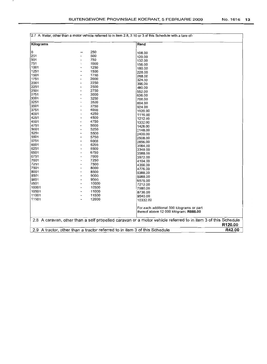$\overline{\phantom{a}}$ 

| 2.7 A trailer, other than a motor vehicle referred to in item 2.8, 2.10 or 3 of this Schedule with a tare of- |           |                                                                                                                         |  |
|---------------------------------------------------------------------------------------------------------------|-----------|-------------------------------------------------------------------------------------------------------------------------|--|
| Kilograms                                                                                                     |           | Rand                                                                                                                    |  |
| 0                                                                                                             | 250       |                                                                                                                         |  |
| 251                                                                                                           | 500       | 108.00                                                                                                                  |  |
| 501                                                                                                           | 750       | 120.00                                                                                                                  |  |
| 751                                                                                                           | 1000      | 132.00                                                                                                                  |  |
| 1001                                                                                                          | 1250      | 156.00                                                                                                                  |  |
| 1251                                                                                                          | 1500      | 180.00                                                                                                                  |  |
| 1501                                                                                                          | 1750      | 228.00                                                                                                                  |  |
| 1751                                                                                                          | 2000      | 288.00                                                                                                                  |  |
| 2001                                                                                                          | 2250      | 324.00                                                                                                                  |  |
|                                                                                                               |           | 396.00                                                                                                                  |  |
| 2251                                                                                                          | 2500      | 480.00                                                                                                                  |  |
| 2501                                                                                                          | 2750      | 552.00                                                                                                                  |  |
| 2751                                                                                                          | 3000      | 636.00                                                                                                                  |  |
| 3001                                                                                                          | 3250      | 708.00                                                                                                                  |  |
| 3251                                                                                                          | 3500      | 804.00                                                                                                                  |  |
| 3501                                                                                                          | 3750      | 924.00                                                                                                                  |  |
| 3751                                                                                                          | 4000      | 1020.00                                                                                                                 |  |
| 4001                                                                                                          | 4250      | 1116.00                                                                                                                 |  |
| 4251                                                                                                          | 4500      | 1212.00                                                                                                                 |  |
| 4501                                                                                                          | 4750      | 1332.00                                                                                                                 |  |
| 4751                                                                                                          | 5000      | 1428.00                                                                                                                 |  |
| 5001                                                                                                          | 5250      | 2148.00                                                                                                                 |  |
| 5251                                                                                                          | 5500      | 2400.00                                                                                                                 |  |
| 5501                                                                                                          | 5750      | 2508.00                                                                                                                 |  |
| 5751                                                                                                          | 6000      | 2856.00                                                                                                                 |  |
| 6001                                                                                                          | 6250      | 3084.00                                                                                                                 |  |
| 6251                                                                                                          | 6500      | 3348.00                                                                                                                 |  |
| 6501                                                                                                          | 6750      | 3588.00                                                                                                                 |  |
| 6751                                                                                                          | 7000      | 3972.00                                                                                                                 |  |
| 7001                                                                                                          | 7250      | 4104.00                                                                                                                 |  |
| 7251                                                                                                          | 7500<br>L | 4356.00                                                                                                                 |  |
| 7501                                                                                                          | 8000      | 4776.00                                                                                                                 |  |
| 8001                                                                                                          | 8500      | 5388.00                                                                                                                 |  |
| 8501                                                                                                          | 9000      | 5988.00                                                                                                                 |  |
| 9001                                                                                                          | 9500      | 6576.00                                                                                                                 |  |
| 9501                                                                                                          | 10000     | 7212.00                                                                                                                 |  |
| 10001                                                                                                         | 10500     | 7980.00                                                                                                                 |  |
| 10501                                                                                                         | 11000     | 8736.00                                                                                                                 |  |
| 11001                                                                                                         | 11500     | 9540.00                                                                                                                 |  |
| 11501                                                                                                         | 12000     | 10332.00                                                                                                                |  |
|                                                                                                               |           | For each additional 500 kilograms or part<br>thereof above 12 000 kilogram: R888.00                                     |  |
|                                                                                                               |           | 2.8 A caravan, other than a self propelled caravan or a motor vehicle referred to in item 3 of this Schedule<br>R120.00 |  |
|                                                                                                               |           | R42.00<br>2.9 A tractor, other than a tractor referred to in item 3 of this Schedule                                    |  |
|                                                                                                               |           |                                                                                                                         |  |